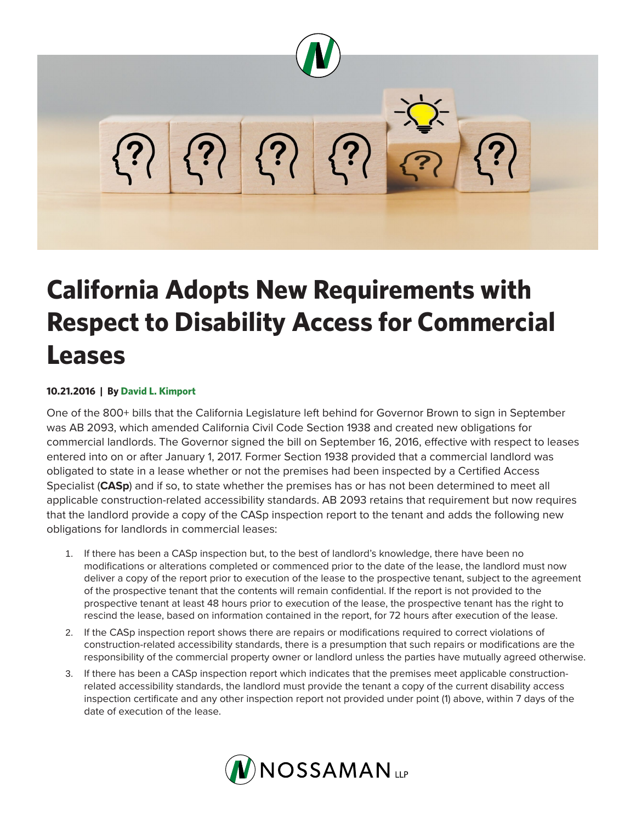

## **California Adopts New Requirements with Respect to Disability Access for Commercial Leases**

## **10.21.2016 | By David L. Kimport**

One of the 800+ bills that the California Legislature left behind for Governor Brown to sign in September was AB 2093, which amended California Civil Code Section 1938 and created new obligations for commercial landlords. The Governor signed the bill on September 16, 2016, effective with respect to leases entered into on or after January 1, 2017. Former Section 1938 provided that a commercial landlord was obligated to state in a lease whether or not the premises had been inspected by a Certified Access Specialist (**CASp**) and if so, to state whether the premises has or has not been determined to meet all applicable construction-related accessibility standards. AB 2093 retains that requirement but now requires that the landlord provide a copy of the CASp inspection report to the tenant and adds the following new obligations for landlords in commercial leases:

- 1. If there has been a CASp inspection but, to the best of landlord's knowledge, there have been no modifications or alterations completed or commenced prior to the date of the lease, the landlord must now deliver a copy of the report prior to execution of the lease to the prospective tenant, subject to the agreement of the prospective tenant that the contents will remain confidential. If the report is not provided to the prospective tenant at least 48 hours prior to execution of the lease, the prospective tenant has the right to rescind the lease, based on information contained in the report, for 72 hours after execution of the lease.
- 2. If the CASp inspection report shows there are repairs or modifications required to correct violations of construction-related accessibility standards, there is a presumption that such repairs or modifications are the responsibility of the commercial property owner or landlord unless the parties have mutually agreed otherwise.
- 3. If there has been a CASp inspection report which indicates that the premises meet applicable constructionrelated accessibility standards, the landlord must provide the tenant a copy of the current disability access inspection certificate and any other inspection report not provided under point (1) above, within 7 days of the date of execution of the lease.